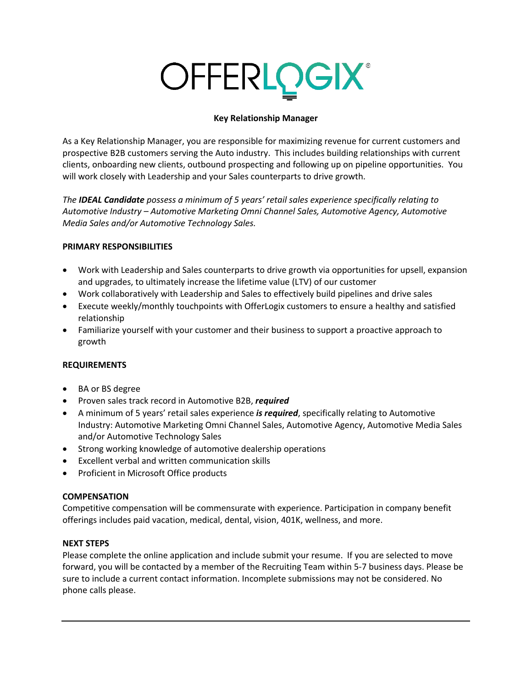# **OFFERLOGIX®**

# **Key Relationship Manager**

As a Key Relationship Manager, you are responsible for maximizing revenue for current customers and prospective B2B customers serving the Auto industry. This includes building relationships with current clients, onboarding new clients, outbound prospecting and following up on pipeline opportunities. You will work closely with Leadership and your Sales counterparts to drive growth.

*The IDEAL Candidate possess a minimum of 5 years' retail sales experience specifically relating to Automotive Industry – Automotive Marketing Omni Channel Sales, Automotive Agency, Automotive Media Sales and/or Automotive Technology Sales.*

### **PRIMARY RESPONSIBILITIES**

- Work with Leadership and Sales counterparts to drive growth via opportunities for upsell, expansion and upgrades, to ultimately increase the lifetime value (LTV) of our customer
- Work collaboratively with Leadership and Sales to effectively build pipelines and drive sales
- Execute weekly/monthly touchpoints with OfferLogix customers to ensure a healthy and satisfied relationship
- Familiarize yourself with your customer and their business to support a proactive approach to growth

# **REQUIREMENTS**

- BA or BS degree
- Proven sales track record in Automotive B2B, *required*
- A minimum of 5 years' retail sales experience *is required*, specifically relating to Automotive Industry: Automotive Marketing Omni Channel Sales, Automotive Agency, Automotive Media Sales and/or Automotive Technology Sales
- Strong working knowledge of automotive dealership operations
- Excellent verbal and written communication skills
- Proficient in Microsoft Office products

# **COMPENSATION**

Competitive compensation will be commensurate with experience. Participation in company benefit offerings includes paid vacation, medical, dental, vision, 401K, wellness, and more.

# **NEXT STEPS**

Please complete the online application and include submit your resume. If you are selected to move forward, you will be contacted by a member of the Recruiting Team within 5-7 business days. Please be sure to include a current contact information. Incomplete submissions may not be considered. No phone calls please.